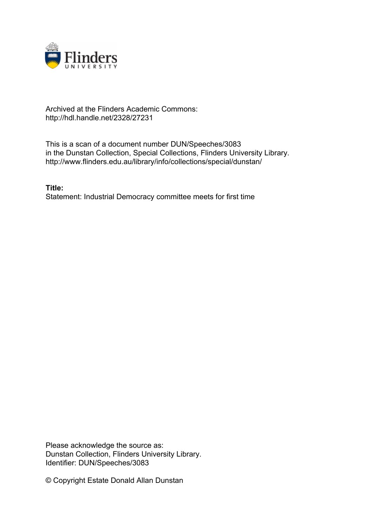

## Archived at the Flinders Academic Commons: http://hdl.handle.net/2328/27231

This is a scan of a document number DUN/Speeches/3083 in the Dunstan Collection, Special Collections, Flinders University Library. http://www.flinders.edu.au/library/info/collections/special/dunstan/

**Title:** Statement: Industrial Democracy committee meets for first time

Please acknowledge the source as: Dunstan Collection, Flinders University Library. Identifier: DUN/Speeches/3083

© Copyright Estate Donald Allan Dunstan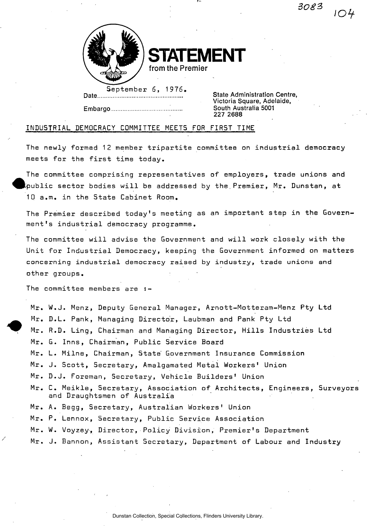*} f* 



Embargo ..........................

**STATEMENT from the Premier** 

September 6, 1976.

**State Administration Centre,** Victoria Square, Adelaide,<br>South Australia 5001 227 2688

## INDUSTRIAL DEMOCRACY COMMITTEE MEETS FDR FIRST TIME

The newly formed 12 member tripartite committee on industrial democracy meets for the first time today.

The committee comprising representatives of employers, trade unions and  $t$ public sector bodies will be addressed by the Premier, Mr. Dunstan, at 10 a.m. in the State Cabinet Room.

The Premier described today's meeting as an important step in the Government's industrial democracy programme.

The committee will advise the Government and will work closely with the Unit for Industrial Democracy, keeping the Government informed on matters concerning industrial democracy raised by industry, trade unions and other groups.

The committee members are :-

Mr. W.J. Menz, Deputy General Manager, Arnott-Motteram-Menz Pty Ltd Mr. D.L. Pank, Managing Director, Laubman and Pank Pty Ltd Mr. R.D. Ling, Chairman and Managing Director, Hills Industries Ltd Mr. G. Inns, Chairman, Public Service Board Mr. L. Milne, Chairman, State' Government Insurance Commission Mr. J. Scott, Secretary, Amalgamated Metal Workers' Union Mr. D.J. Foreman, Secretary, Vehicle Builders' Union Mr. C. Meikle, Secretary, Association of Architects, Engineers, Surveyors and Draughtsmen of Australia Mr. A. Begg, Secretary, Australian Workers' Union Mr. P. Lennox, Secretary, Public Service Association Mr. W. Voyzey, Director, Policy Division, Premier's Department Mr. J. Bannon, Assistant Secretary, Department of Labour and Industry